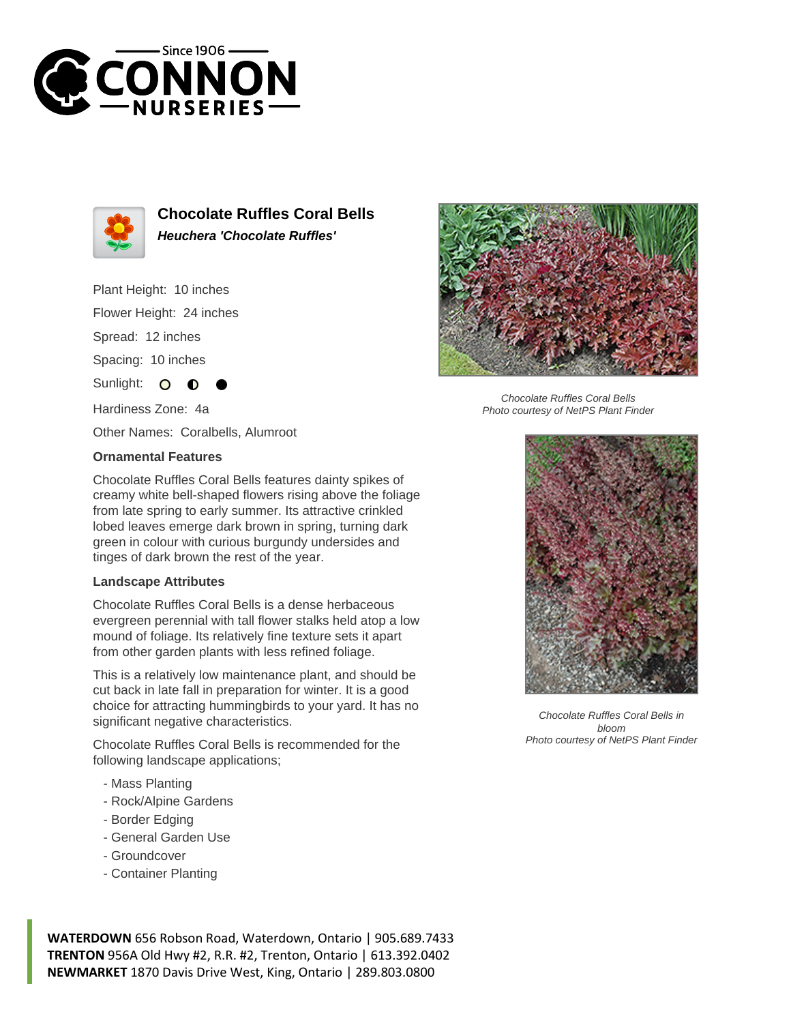



**Chocolate Ruffles Coral Bells Heuchera 'Chocolate Ruffles'**

Plant Height: 10 inches

Flower Height: 24 inches

Spread: 12 inches

Spacing: 10 inches

Sunlight:  $\bullet$ ∩

Hardiness Zone: 4a

Other Names: Coralbells, Alumroot

## **Ornamental Features**

Chocolate Ruffles Coral Bells features dainty spikes of creamy white bell-shaped flowers rising above the foliage from late spring to early summer. Its attractive crinkled lobed leaves emerge dark brown in spring, turning dark green in colour with curious burgundy undersides and tinges of dark brown the rest of the year.

## **Landscape Attributes**

Chocolate Ruffles Coral Bells is a dense herbaceous evergreen perennial with tall flower stalks held atop a low mound of foliage. Its relatively fine texture sets it apart from other garden plants with less refined foliage.

This is a relatively low maintenance plant, and should be cut back in late fall in preparation for winter. It is a good choice for attracting hummingbirds to your yard. It has no significant negative characteristics.

Chocolate Ruffles Coral Bells is recommended for the following landscape applications;

- Mass Planting
- Rock/Alpine Gardens
- Border Edging
- General Garden Use
- Groundcover
- Container Planting





Chocolate Ruffles Coral Bells Photo courtesy of NetPS Plant Finder



Chocolate Ruffles Coral Bells in bloom Photo courtesy of NetPS Plant Finder